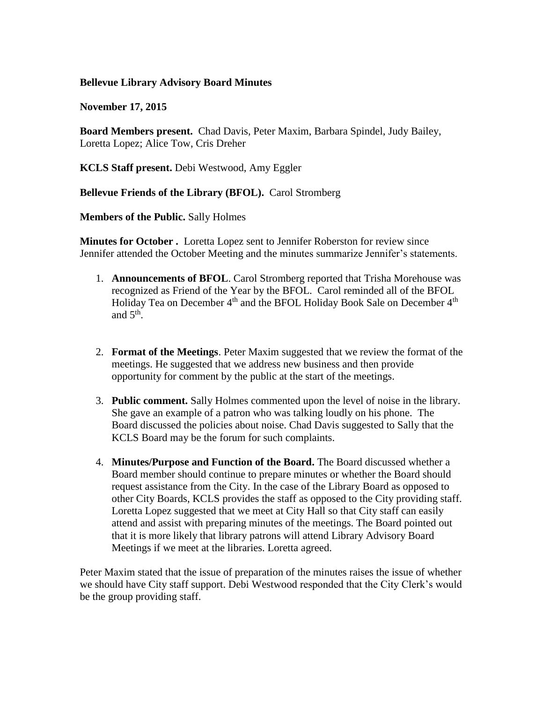## **Bellevue Library Advisory Board Minutes**

**November 17, 2015**

**Board Members present.** Chad Davis, Peter Maxim, Barbara Spindel, Judy Bailey, Loretta Lopez; Alice Tow, Cris Dreher

**KCLS Staff present.** Debi Westwood, Amy Eggler

## **Bellevue Friends of the Library (BFOL).** Carol Stromberg

**Members of the Public.** Sally Holmes

**Minutes for October .** Loretta Lopez sent to Jennifer Roberston for review since Jennifer attended the October Meeting and the minutes summarize Jennifer's statements.

- 1. **Announcements of BFOL**. Carol Stromberg reported that Trisha Morehouse was recognized as Friend of the Year by the BFOL. Carol reminded all of the BFOL Holiday Tea on December 4<sup>th</sup> and the BFOL Holiday Book Sale on December 4<sup>th</sup> and  $5<sup>th</sup>$ .
- 2. **Format of the Meetings**. Peter Maxim suggested that we review the format of the meetings. He suggested that we address new business and then provide opportunity for comment by the public at the start of the meetings.
- 3. **Public comment.** Sally Holmes commented upon the level of noise in the library. She gave an example of a patron who was talking loudly on his phone. The Board discussed the policies about noise. Chad Davis suggested to Sally that the KCLS Board may be the forum for such complaints.
- 4. **Minutes/Purpose and Function of the Board.** The Board discussed whether a Board member should continue to prepare minutes or whether the Board should request assistance from the City. In the case of the Library Board as opposed to other City Boards, KCLS provides the staff as opposed to the City providing staff. Loretta Lopez suggested that we meet at City Hall so that City staff can easily attend and assist with preparing minutes of the meetings. The Board pointed out that it is more likely that library patrons will attend Library Advisory Board Meetings if we meet at the libraries. Loretta agreed.

Peter Maxim stated that the issue of preparation of the minutes raises the issue of whether we should have City staff support. Debi Westwood responded that the City Clerk's would be the group providing staff.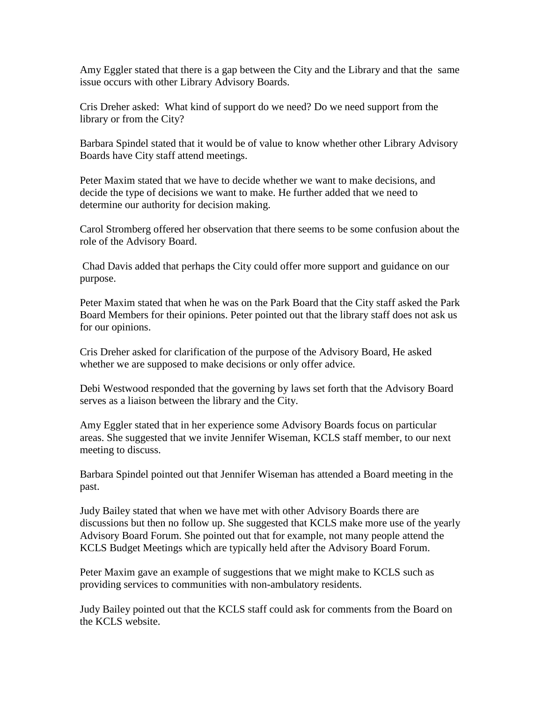Amy Eggler stated that there is a gap between the City and the Library and that the same issue occurs with other Library Advisory Boards.

Cris Dreher asked: What kind of support do we need? Do we need support from the library or from the City?

Barbara Spindel stated that it would be of value to know whether other Library Advisory Boards have City staff attend meetings.

Peter Maxim stated that we have to decide whether we want to make decisions, and decide the type of decisions we want to make. He further added that we need to determine our authority for decision making.

Carol Stromberg offered her observation that there seems to be some confusion about the role of the Advisory Board.

Chad Davis added that perhaps the City could offer more support and guidance on our purpose.

Peter Maxim stated that when he was on the Park Board that the City staff asked the Park Board Members for their opinions. Peter pointed out that the library staff does not ask us for our opinions.

Cris Dreher asked for clarification of the purpose of the Advisory Board, He asked whether we are supposed to make decisions or only offer advice.

Debi Westwood responded that the governing by laws set forth that the Advisory Board serves as a liaison between the library and the City.

Amy Eggler stated that in her experience some Advisory Boards focus on particular areas. She suggested that we invite Jennifer Wiseman, KCLS staff member, to our next meeting to discuss.

Barbara Spindel pointed out that Jennifer Wiseman has attended a Board meeting in the past.

Judy Bailey stated that when we have met with other Advisory Boards there are discussions but then no follow up. She suggested that KCLS make more use of the yearly Advisory Board Forum. She pointed out that for example, not many people attend the KCLS Budget Meetings which are typically held after the Advisory Board Forum.

Peter Maxim gave an example of suggestions that we might make to KCLS such as providing services to communities with non-ambulatory residents.

Judy Bailey pointed out that the KCLS staff could ask for comments from the Board on the KCLS website.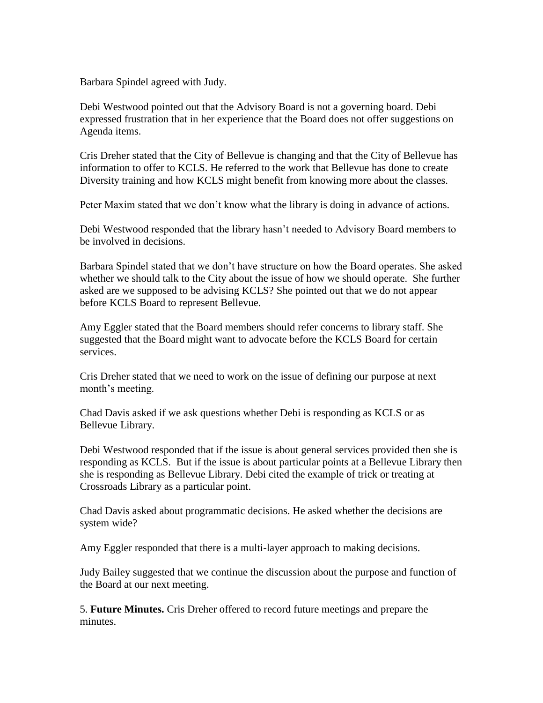Barbara Spindel agreed with Judy.

Debi Westwood pointed out that the Advisory Board is not a governing board. Debi expressed frustration that in her experience that the Board does not offer suggestions on Agenda items.

Cris Dreher stated that the City of Bellevue is changing and that the City of Bellevue has information to offer to KCLS. He referred to the work that Bellevue has done to create Diversity training and how KCLS might benefit from knowing more about the classes.

Peter Maxim stated that we don't know what the library is doing in advance of actions.

Debi Westwood responded that the library hasn't needed to Advisory Board members to be involved in decisions.

Barbara Spindel stated that we don't have structure on how the Board operates. She asked whether we should talk to the City about the issue of how we should operate. She further asked are we supposed to be advising KCLS? She pointed out that we do not appear before KCLS Board to represent Bellevue.

Amy Eggler stated that the Board members should refer concerns to library staff. She suggested that the Board might want to advocate before the KCLS Board for certain services.

Cris Dreher stated that we need to work on the issue of defining our purpose at next month's meeting.

Chad Davis asked if we ask questions whether Debi is responding as KCLS or as Bellevue Library.

Debi Westwood responded that if the issue is about general services provided then she is responding as KCLS. But if the issue is about particular points at a Bellevue Library then she is responding as Bellevue Library. Debi cited the example of trick or treating at Crossroads Library as a particular point.

Chad Davis asked about programmatic decisions. He asked whether the decisions are system wide?

Amy Eggler responded that there is a multi-layer approach to making decisions.

Judy Bailey suggested that we continue the discussion about the purpose and function of the Board at our next meeting.

5. **Future Minutes.** Cris Dreher offered to record future meetings and prepare the minutes.